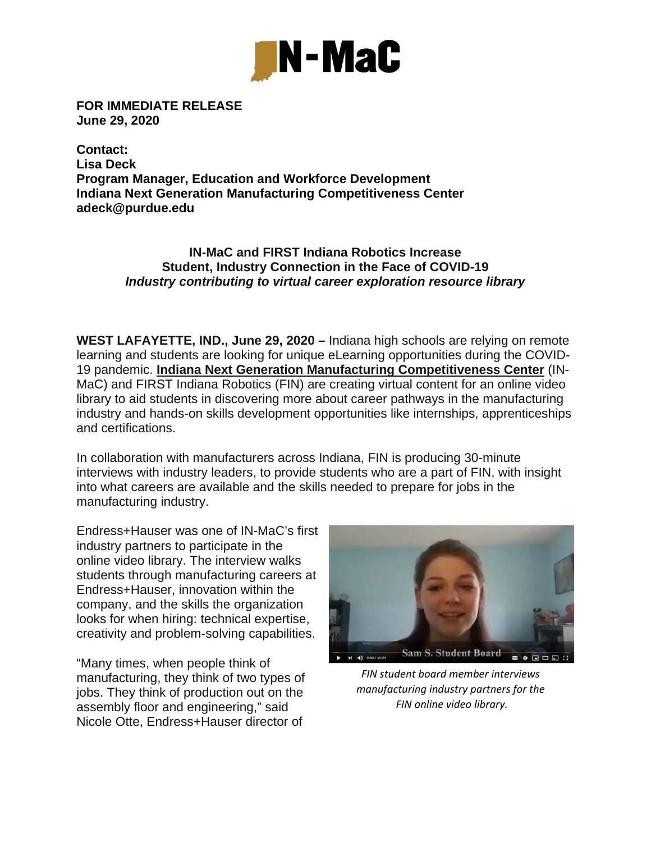

**FOR IMMEDIATE RELEASE June 29, 2020** 

**Contact: Lisa Deck Program Manager, Education and Workforce Development Indiana Next Generation Manufacturing Competitiveness Center adeck@purdue.edu** 

## **IN-MaC and FIRST Indiana Robotics Increase Student, Industry Connection in the Face of COVID-19** *Industry contributing to virtual career exploration resource library*

**WEST LAFAYETTE, IND., June 29, 2020 –** Indiana high schools are relying on remote learning and students are looking for unique eLearning opportunities during the COVID-19 pandemic. **Indiana Next Generation Manufacturing Competitiveness Center** (IN-MaC) and FIRST Indiana Robotics (FIN) are creating virtual content for an online video library to aid students in discovering more about career pathways in the manufacturing industry and hands-on skills development opportunities like internships, apprenticeships and certifications.

In collaboration with manufacturers across Indiana, FIN is producing 30-minute interviews with industry leaders, to provide students who are a part of FIN, with insight into what careers are available and the skills needed to prepare for jobs in the manufacturing industry.

Endress+Hauser was one of IN-MaC's first industry partners to participate in the online video library. The interview walks students through manufacturing careers at Endress+Hauser, innovation within the company, and the skills the organization looks for when hiring: technical expertise, creativity and problem-solving capabilities.

"Many times, when people think of manufacturing, they think of two types of jobs. They think of production out on the assembly floor and engineering," said Nicole Otte, Endress+Hauser director of



*FIN student board member interviews manufacturing industry partners for the FIN online video library.*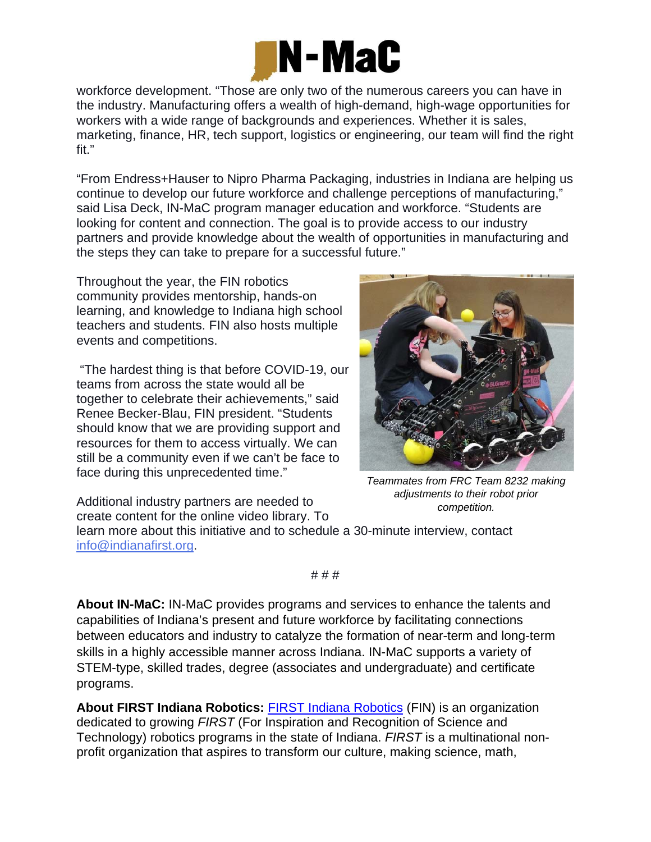

workforce development. "Those are only two of the numerous careers you can have in the industry. Manufacturing offers a wealth of high-demand, high-wage opportunities for workers with a wide range of backgrounds and experiences. Whether it is sales, marketing, finance, HR, tech support, logistics or engineering, our team will find the right fit."

"From Endress+Hauser to Nipro Pharma Packaging, industries in Indiana are helping us continue to develop our future workforce and challenge perceptions of manufacturing," said Lisa Deck, IN-MaC program manager education and workforce. "Students are looking for content and connection. The goal is to provide access to our industry partners and provide knowledge about the wealth of opportunities in manufacturing and the steps they can take to prepare for a successful future."

Throughout the year, the FIN robotics community provides mentorship, hands-on learning, and knowledge to Indiana high school teachers and students. FIN also hosts multiple events and competitions.

 "The hardest thing is that before COVID-19, our teams from across the state would all be together to celebrate their achievements," said Renee Becker-Blau, FIN president. "Students should know that we are providing support and resources for them to access virtually. We can still be a community even if we can't be face to face during this unprecedented time."



*Teammates from FRC Team 8232 making adjustments to their robot prior* 

Additional industry partners are needed to create content for the online video library. To learn more about this initiative and to schedule a 30-minute interview, contact info@indianafirst.org. *competition.*

# # #

**About IN-MaC:** IN-MaC provides programs and services to enhance the talents and capabilities of Indiana's present and future workforce by facilitating connections between educators and industry to catalyze the formation of near-term and long-term skills in a highly accessible manner across Indiana. IN-MaC supports a variety of STEM-type, skilled trades, degree (associates and undergraduate) and certificate programs.

**About FIRST Indiana Robotics:** FIRST Indiana Robotics (FIN) is an organization dedicated to growing *FIRST* (For Inspiration and Recognition of Science and Technology) robotics programs in the state of Indiana. *FIRST* is a multinational nonprofit organization that aspires to transform our culture, making science, math,